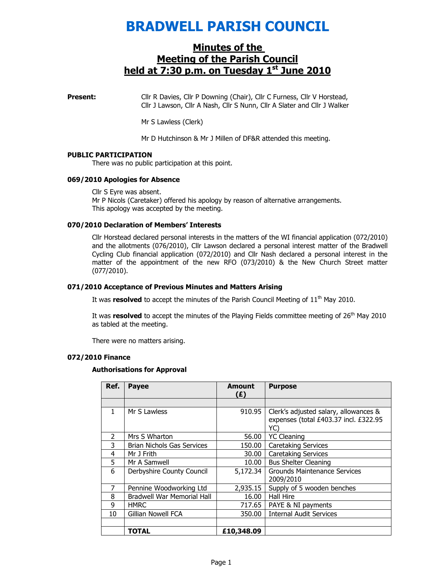## BRADWELL PARISH COUNCIL

### Minutes of the Meeting of the Parish Council held at  $7:30$  p.m. on Tuesday  $1<sup>st</sup>$  June 2010

**Present:** Cllr R Davies, Cllr P Downing (Chair), Cllr C Furness, Cllr V Horstead, Cllr J Lawson, Cllr A Nash, Cllr S Nunn, Cllr A Slater and Cllr J Walker

Mr S Lawless (Clerk)

Mr D Hutchinson & Mr J Millen of DF&R attended this meeting.

#### PUBLIC PARTICIPATION

There was no public participation at this point.

#### 069/2010 Apologies for Absence

Cllr S Eyre was absent. Mr P Nicols (Caretaker) offered his apology by reason of alternative arrangements. This apology was accepted by the meeting.

#### 070/2010 Declaration of Members' Interests

Cllr Horstead declared personal interests in the matters of the WI financial application (072/2010) and the allotments (076/2010), Cllr Lawson declared a personal interest matter of the Bradwell Cycling Club financial application (072/2010) and Cllr Nash declared a personal interest in the matter of the appointment of the new RFO (073/2010) & the New Church Street matter (077/2010).

#### 071/2010 Acceptance of Previous Minutes and Matters Arising

It was resolved to accept the minutes of the Parish Council Meeting of  $11<sup>th</sup>$  May 2010.

It was resolved to accept the minutes of the Playing Fields committee meeting of  $26<sup>th</sup>$  May 2010 as tabled at the meeting.

There were no matters arising.

#### 072/2010 Finance

#### Authorisations for Approval

| Ref.          | <b>Payee</b>                      | <b>Amount</b><br>(E) | <b>Purpose</b>                                                                        |
|---------------|-----------------------------------|----------------------|---------------------------------------------------------------------------------------|
|               |                                   |                      |                                                                                       |
| $\mathbf{1}$  | Mr S Lawless                      | 910.95               | Clerk's adjusted salary, allowances &<br>expenses (total £403.37 incl. £322.95<br>YC) |
| $\mathcal{P}$ | Mrs S Wharton                     | 56.00                | <b>YC Cleaning</b>                                                                    |
| 3             | <b>Brian Nichols Gas Services</b> | 150.00               | <b>Caretaking Services</b>                                                            |
| 4             | Mr J Frith                        | 30.00                | <b>Caretaking Services</b>                                                            |
| 5             | Mr A Samwell                      | 10.00                | <b>Bus Shelter Cleaning</b>                                                           |
| 6             | Derbyshire County Council         | 5,172.34             | Grounds Maintenance Services<br>2009/2010                                             |
|               | Pennine Woodworking Ltd           | 2,935.15             | Supply of 5 wooden benches                                                            |
| 8             | <b>Bradwell War Memorial Hall</b> | 16.00                | <b>Hall Hire</b>                                                                      |
| 9             | <b>HMRC</b>                       | 717.65               | PAYE & NI payments                                                                    |
| 10            | Gillian Nowell FCA                | 350.00               | <b>Internal Audit Services</b>                                                        |
|               |                                   |                      |                                                                                       |
|               | <b>TOTAL</b>                      | £10,348.09           |                                                                                       |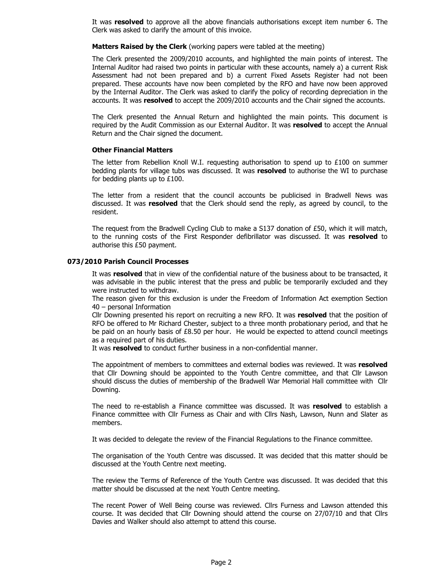It was resolved to approve all the above financials authorisations except item number 6. The Clerk was asked to clarify the amount of this invoice.

Matters Raised by the Clerk (working papers were tabled at the meeting)

The Clerk presented the 2009/2010 accounts, and highlighted the main points of interest. The Internal Auditor had raised two points in particular with these accounts, namely a) a current Risk Assessment had not been prepared and b) a current Fixed Assets Register had not been prepared. These accounts have now been completed by the RFO and have now been approved by the Internal Auditor. The Clerk was asked to clarify the policy of recording depreciation in the accounts. It was resolved to accept the 2009/2010 accounts and the Chair signed the accounts.

The Clerk presented the Annual Return and highlighted the main points. This document is required by the Audit Commission as our External Auditor. It was resolved to accept the Annual Return and the Chair signed the document.

#### Other Financial Matters

The letter from Rebellion Knoll W.I. requesting authorisation to spend up to  $£100$  on summer bedding plants for village tubs was discussed. It was resolved to authorise the WI to purchase for bedding plants up to £100.

The letter from a resident that the council accounts be publicised in Bradwell News was discussed. It was resolved that the Clerk should send the reply, as agreed by council, to the resident.

The request from the Bradwell Cycling Club to make a S137 donation of £50, which it will match, to the running costs of the First Responder defibrillator was discussed. It was resolved to authorise this £50 payment.

#### 073/2010 Parish Council Processes

It was resolved that in view of the confidential nature of the business about to be transacted, it was advisable in the public interest that the press and public be temporarily excluded and they were instructed to withdraw.

The reason given for this exclusion is under the Freedom of Information Act exemption Section 40 – personal Information

Cllr Downing presented his report on recruiting a new RFO. It was resolved that the position of RFO be offered to Mr Richard Chester, subject to a three month probationary period, and that he be paid on an hourly basis of  $£8.50$  per hour. He would be expected to attend council meetings as a required part of his duties.

It was **resolved** to conduct further business in a non-confidential manner.

The appointment of members to committees and external bodies was reviewed. It was resolved that Cllr Downing should be appointed to the Youth Centre committee, and that Cllr Lawson should discuss the duties of membership of the Bradwell War Memorial Hall committee with Cllr Downing.

The need to re-establish a Finance committee was discussed. It was resolved to establish a Finance committee with Cllr Furness as Chair and with Cllrs Nash, Lawson, Nunn and Slater as members.

It was decided to delegate the review of the Financial Regulations to the Finance committee.

The organisation of the Youth Centre was discussed. It was decided that this matter should be discussed at the Youth Centre next meeting.

The review the Terms of Reference of the Youth Centre was discussed. It was decided that this matter should be discussed at the next Youth Centre meeting.

The recent Power of Well Being course was reviewed. Cllrs Furness and Lawson attended this course. It was decided that Cllr Downing should attend the course on 27/07/10 and that Cllrs Davies and Walker should also attempt to attend this course.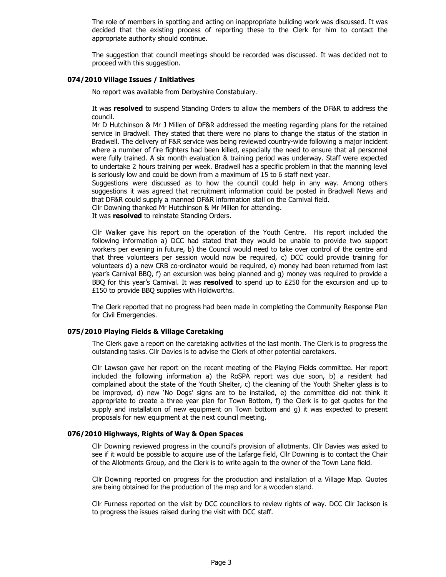The role of members in spotting and acting on inappropriate building work was discussed. It was decided that the existing process of reporting these to the Clerk for him to contact the appropriate authority should continue.

The suggestion that council meetings should be recorded was discussed. It was decided not to proceed with this suggestion.

#### 074/2010 Village Issues / Initiatives

No report was available from Derbyshire Constabulary.

It was resolved to suspend Standing Orders to allow the members of the DF&R to address the council.

Mr D Hutchinson & Mr J Millen of DF&R addressed the meeting regarding plans for the retained service in Bradwell. They stated that there were no plans to change the status of the station in Bradwell. The delivery of F&R service was being reviewed country-wide following a major incident where a number of fire fighters had been killed, especially the need to ensure that all personnel were fully trained. A six month evaluation & training period was underway. Staff were expected to undertake 2 hours training per week. Bradwell has a specific problem in that the manning level is seriously low and could be down from a maximum of 15 to 6 staff next year.

Suggestions were discussed as to how the council could help in any way. Among others suggestions it was agreed that recruitment information could be posted in Bradwell News and that DF&R could supply a manned DF&R information stall on the Carnival field.

Cllr Downing thanked Mr Hutchinson & Mr Millen for attending.

It was resolved to reinstate Standing Orders.

Cllr Walker gave his report on the operation of the Youth Centre. His report included the following information a) DCC had stated that they would be unable to provide two support workers per evening in future, b) the Council would need to take over control of the centre and that three volunteers per session would now be required, c) DCC could provide training for volunteers d) a new CRB co-ordinator would be required, e) money had been returned from last year's Carnival BBQ, f) an excursion was being planned and g) money was required to provide a BBQ for this year's Carnival. It was resolved to spend up to  $£250$  for the excursion and up to £150 to provide BBQ supplies with Holdworths.

The Clerk reported that no progress had been made in completing the Community Response Plan for Civil Emergencies.

#### 075/2010 Playing Fields & Village Caretaking

The Clerk gave a report on the caretaking activities of the last month. The Clerk is to progress the outstanding tasks. Cllr Davies is to advise the Clerk of other potential caretakers.

Cllr Lawson gave her report on the recent meeting of the Playing Fields committee. Her report included the following information a) the RoSPA report was due soon, b) a resident had complained about the state of the Youth Shelter, c) the cleaning of the Youth Shelter glass is to be improved, d) new 'No Dogs' signs are to be installed, e) the committee did not think it appropriate to create a three year plan for Town Bottom, f) the Clerk is to get quotes for the supply and installation of new equipment on Town bottom and g) it was expected to present proposals for new equipment at the next council meeting.

#### 076/2010 Highways, Rights of Way & Open Spaces

Cllr Downing reviewed progress in the council's provision of allotments. Cllr Davies was asked to see if it would be possible to acquire use of the Lafarge field, Cllr Downing is to contact the Chair of the Allotments Group, and the Clerk is to write again to the owner of the Town Lane field.

Cllr Downing reported on progress for the production and installation of a Village Map. Quotes are being obtained for the production of the map and for a wooden stand.

Cllr Furness reported on the visit by DCC councillors to review rights of way. DCC Cllr Jackson is to progress the issues raised during the visit with DCC staff.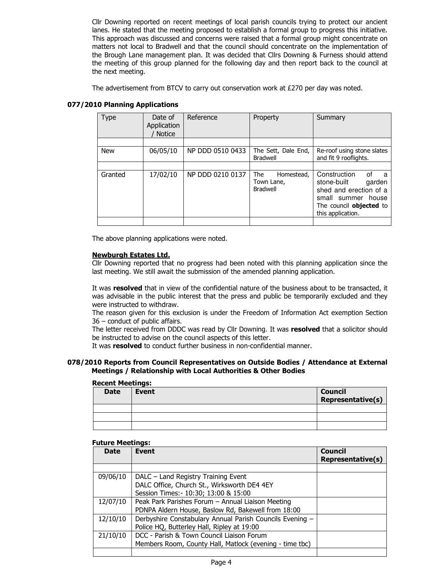Cllr Downing reported on recent meetings of local parish councils trying to protect our ancient lanes. He stated that the meeting proposed to establish a formal group to progress this initiative. This approach was discussed and concerns were raised that a formal group might concentrate on matters not local to Bradwell and that the council should concentrate on the implementation of the Brough Lane management plan. It was decided that Cllrs Downing & Furness should attend the meeting of this group planned for the following day and then report back to the council at the next meeting.

The advertisement from BTCV to carry out conservation work at £270 per day was noted.

| Type       | Date of<br>Application<br><b>Notice</b> | Reference        | Property                                           | Summary                                                                                                                                                 |
|------------|-----------------------------------------|------------------|----------------------------------------------------|---------------------------------------------------------------------------------------------------------------------------------------------------------|
|            |                                         |                  |                                                    |                                                                                                                                                         |
| <b>New</b> | 06/05/10                                | NP DDD 0510 0433 | The Sett, Dale End,<br><b>Bradwell</b>             | Re-roof using stone slates<br>and fit 9 rooflights.                                                                                                     |
|            |                                         |                  |                                                    |                                                                                                                                                         |
| Granted    | 17/02/10                                | NP DDD 0210 0137 | The<br>Homestead,<br>Town Lane,<br><b>Bradwell</b> | Construction<br>Ωf<br>a<br>stone-built<br>garden<br>shed and erection of a<br>small summer house<br>The council <b>objected</b> to<br>this application. |
|            |                                         |                  |                                                    |                                                                                                                                                         |

#### 077/2010 Planning Applications

The above planning applications were noted.

#### Newburgh Estates Ltd.

Cllr Downing reported that no progress had been noted with this planning application since the last meeting. We still await the submission of the amended planning application.

It was resolved that in view of the confidential nature of the business about to be transacted, it was advisable in the public interest that the press and public be temporarily excluded and they were instructed to withdraw.

The reason given for this exclusion is under the Freedom of Information Act exemption Section 36 – conduct of public affairs.

The letter received from DDDC was read by Cllr Downing. It was resolved that a solicitor should be instructed to advise on the council aspects of this letter.

It was **resolved** to conduct further business in non-confidential manner.

#### 078/2010 Reports from Council Representatives on Outside Bodies / Attendance at External Meetings / Relationship with Local Authorities & Other Bodies

# Recent Meetings: Date Event Council and Council and Council Representative(s)

#### Future Meetings:

| <b>Date</b> | <b>Event</b>                                                                                                                | Council<br>Representative(s) |
|-------------|-----------------------------------------------------------------------------------------------------------------------------|------------------------------|
|             |                                                                                                                             |                              |
| 09/06/10    | DALC – Land Registry Training Event<br>DALC Office, Church St., Wirksworth DE4 4EY<br>Session Times: - 10:30; 13:00 & 15:00 |                              |
| 12/07/10    | Peak Park Parishes Forum - Annual Liaison Meeting<br>PDNPA Aldern House, Baslow Rd, Bakewell from 18:00                     |                              |
| 12/10/10    | Derbyshire Constabulary Annual Parish Councils Evening -<br>Police HQ, Butterley Hall, Ripley at 19:00                      |                              |
| 21/10/10    | DCC - Parish & Town Council Liaison Forum<br>Members Room, County Hall, Matlock (evening - time tbc)                        |                              |
|             |                                                                                                                             |                              |